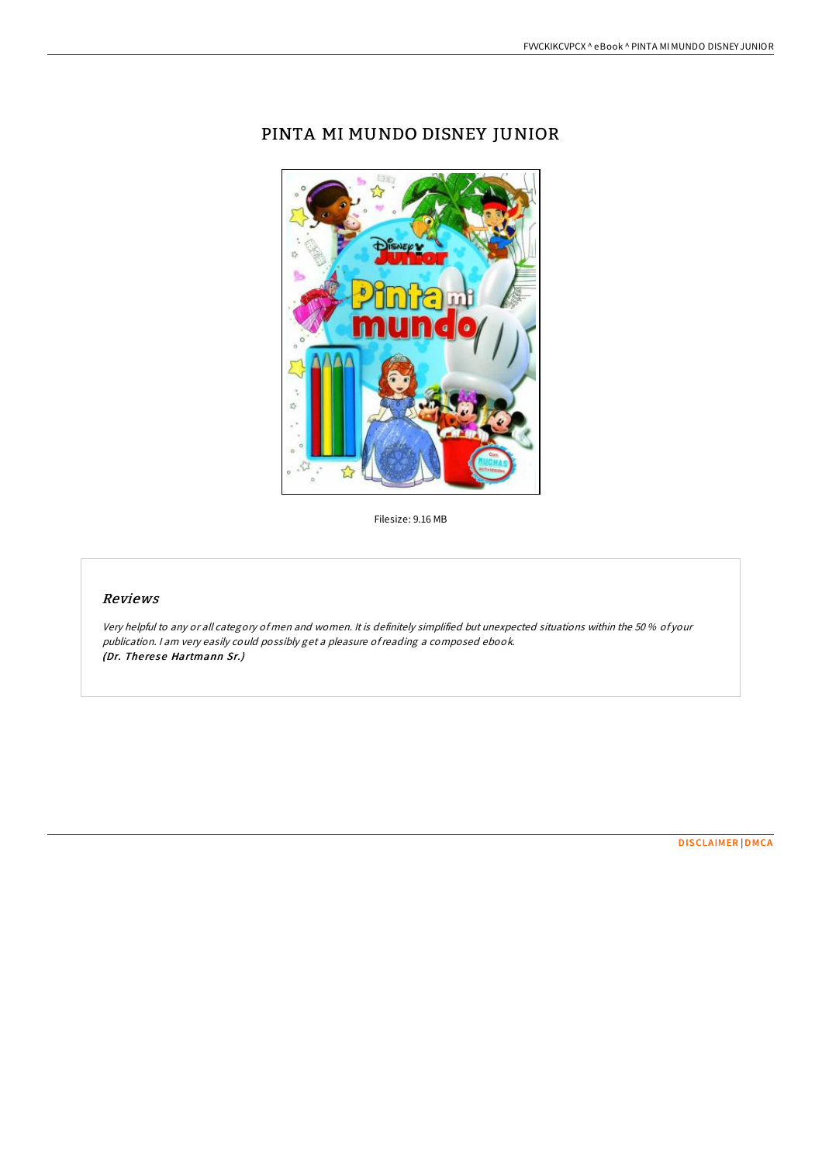# PINTA MI MUNDO DISNEY JUNIOR



Filesize: 9.16 MB

# Reviews

Very helpful to any or all category of men and women. It is definitely simplified but unexpected situations within the 50 % of your publication. <sup>I</sup> am very easily could possibly get <sup>a</sup> pleasure ofreading <sup>a</sup> composed ebook. (Dr. Therese Hartmann Sr.)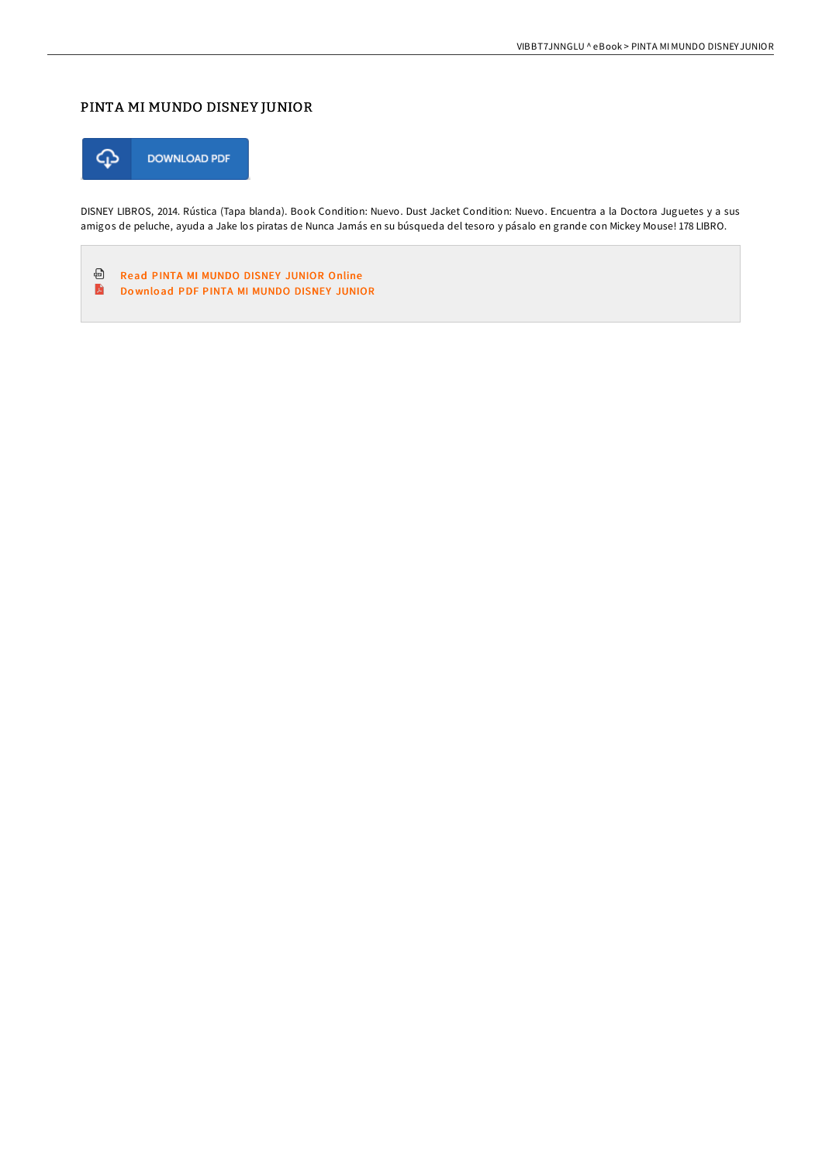## PINTA MI MUNDO DISNEY JUNIOR



DISNEY LIBROS, 2014. Rústica (Tapa blanda). Book Condition: Nuevo. Dust Jacket Condition: Nuevo. Encuentra a la Doctora Juguetes y a sus amigos de peluche, ayuda a Jake los piratas de Nunca Jamás en su búsqueda del tesoro y pásalo en grande con Mickey Mouse! 178 LIBRO.

⊕ Read PINTA MI MUNDO DISNEY [JUNIOR](http://almighty24.tech/pinta-mi-mundo-disney-junior.html) Online A Do wnlo ad PDF PINTA MI MUNDO DISNEY [JUNIOR](http://almighty24.tech/pinta-mi-mundo-disney-junior.html)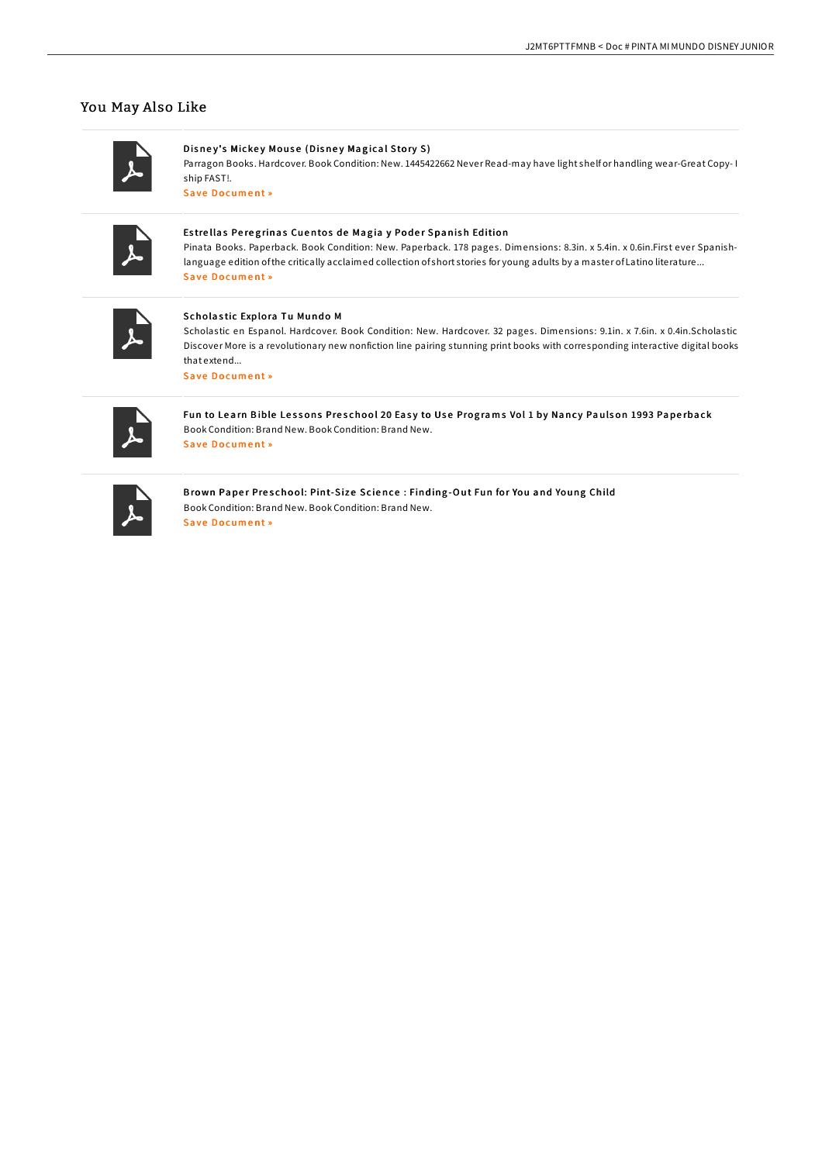### You May Also Like

Disney's Mickey Mouse (Disney Magical Story S)

Parragon Books. Hardcover. Book Condition: New. 1445422662 Never Read-may have light shelf or handling wear-Great Copy-I ship FAST!.

Save Document »

### Estrellas Peregrinas Cuentos de Magia y Poder Spanish Edition

Pinata Books. Paperback. Book Condition: New. Paperback. 178 pages. Dimensions: 8.3in. x 5.4in. x 0.6in.First ever Spanishlanguage edition of the critically acclaimed collection of short stories for young adults by a master of Latino literature... **Save Document**»

#### Scholastic Explora Tu Mundo M

Scholastic en Espanol. Hardcover. Book Condition: New. Hardcover. 32 pages. Dimensions: 9.1in. x 7.6in. x 0.4in.Scholastic Discover More is a revolutionary new nonfiction line pairing stunning print books with corresponding interactive digital books that extend... **Save Document** »

Fun to Learn Bible Lessons Preschool 20 Easy to Use Programs Vol 1 by Nancy Paulson 1993 Paperback Book Condition: Brand New. Book Condition: Brand New. **Save Document »** 

Brown Paper Preschool: Pint-Size Science : Finding-Out Fun for You and Young Child Book Condition: Brand New. Book Condition: Brand New. **Save Document** »